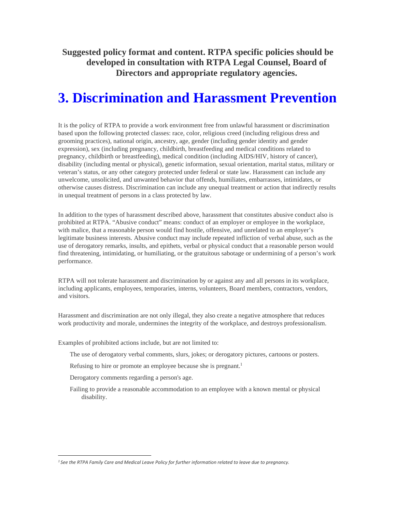**Suggested policy format and content. RTPA specific policies should be developed in consultation with RTPA Legal Counsel, Board of Directors and appropriate regulatory agencies.** 

# **3. Discrimination and Harassment Prevention**

It is the policy of RTPA to provide a work environment free from unlawful harassment or discrimination based upon the following protected classes: race, color, religious creed (including religious dress and grooming practices), national origin, ancestry, age, gender (including gender identity and gender expression), sex (including pregnancy, childbirth, breastfeeding and medical conditions related to pregnancy, childbirth or breastfeeding), medical condition (including AIDS/HIV, history of cancer), disability (including mental or physical), genetic information, sexual orientation, marital status, military or veteran's status, or any other category protected under federal or state law. Harassment can include any unwelcome, unsolicited, and unwanted behavior that offends, humiliates, embarrasses, intimidates, or otherwise causes distress. Discrimination can include any unequal treatment or action that indirectly results in unequal treatment of persons in a class protected by law.

In addition to the types of harassment described above, harassment that constitutes abusive conduct also is prohibited at RTPA. "Abusive conduct" means: conduct of an employer or employee in the workplace, with malice, that a reasonable person would find hostile, offensive, and unrelated to an employer's legitimate business interests. Abusive conduct may include repeated infliction of verbal abuse, such as the use of derogatory remarks, insults, and epithets, verbal or physical conduct that a reasonable person would find threatening, intimidating, or humiliating, or the gratuitous sabotage or undermining of a person's work performance.

RTPA will not tolerate harassment and discrimination by or against any and all persons in its workplace, including applicants, employees, temporaries, interns, volunteers, Board members, contractors, vendors, and visitors.

Harassment and discrimination are not only illegal, they also create a negative atmosphere that reduces work productivity and morale, undermines the integrity of the workplace, and destroys professionalism.

Examples of prohibited actions include, but are not limited to:

- The use of derogatory verbal comments, slurs, jokes; or derogatory pictures, cartoons or posters.
- Refusing to hire or promote an employee because she is pregnant.<sup>1</sup>
- Derogatory comments regarding a person's age.
- Failing to provide a reasonable accommodation to an employee with a known mental or physical disability.

*<sup>1</sup> See the RTPA Family Care and Medical Leave Policy for further information related to leave due to pregnancy.*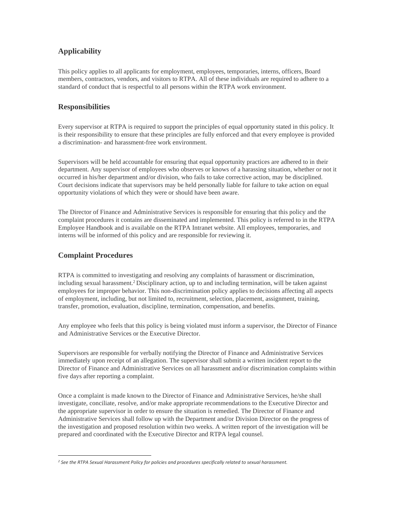## **Applicability**

This policy applies to all applicants for employment, employees, temporaries, interns, officers, Board members, contractors, vendors, and visitors to RTPA. All of these individuals are required to adhere to a standard of conduct that is respectful to all persons within the RTPA work environment.

### **Responsibilities**

Every supervisor at RTPA is required to support the principles of equal opportunity stated in this policy. It is their responsibility to ensure that these principles are fully enforced and that every employee is provided a discrimination- and harassment-free work environment.

Supervisors will be held accountable for ensuring that equal opportunity practices are adhered to in their department. Any supervisor of employees who observes or knows of a harassing situation, whether or not it occurred in his/her department and/or division, who fails to take corrective action, may be disciplined. Court decisions indicate that supervisors may be held personally liable for failure to take action on equal opportunity violations of which they were or should have been aware.

The Director of Finance and Administrative Services is responsible for ensuring that this policy and the complaint procedures it contains are disseminated and implemented. This policy is referred to in the RTPA Employee Handbook and is available on the RTPA Intranet website. All employees, temporaries, and interns will be informed of this policy and are responsible for reviewing it.

### **Complaint Procedures**

RTPA is committed to investigating and resolving any complaints of harassment or discrimination, including sexual harassment.<sup>2</sup> Disciplinary action, up to and including termination, will be taken against employees for improper behavior. This non-discrimination policy applies to decisions affecting all aspects of employment, including, but not limited to, recruitment, selection, placement, assignment, training, transfer, promotion, evaluation, discipline, termination, compensation, and benefits.

Any employee who feels that this policy is being violated must inform a supervisor, the Director of Finance and Administrative Services or the Executive Director.

Supervisors are responsible for verbally notifying the Director of Finance and Administrative Services immediately upon receipt of an allegation. The supervisor shall submit a written incident report to the Director of Finance and Administrative Services on all harassment and/or discrimination complaints within five days after reporting a complaint.

Once a complaint is made known to the Director of Finance and Administrative Services, he/she shall investigate, conciliate, resolve, and/or make appropriate recommendations to the Executive Director and the appropriate supervisor in order to ensure the situation is remedied. The Director of Finance and Administrative Services shall follow up with the Department and/or Division Director on the progress of the investigation and proposed resolution within two weeks. A written report of the investigation will be prepared and coordinated with the Executive Director and RTPA legal counsel.

*<sup>2</sup> See the RTPA Sexual Harassment Policy for policies and procedures specifically related to sexual harassment.*